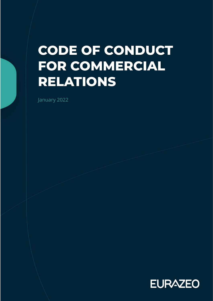# **CODE OF CONDUCT FOR COMMERCIAL RELATIONS**

January 2022

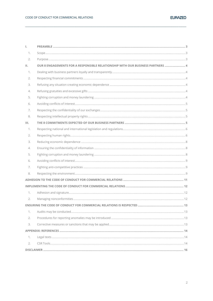| Τ.   |                                                                                |  |
|------|--------------------------------------------------------------------------------|--|
| 1.   |                                                                                |  |
| 2.   |                                                                                |  |
| Ш.   | OUR 8 ENGAGEMENTS FOR A RESPONSIBLE RELATIONSHIP WITH OUR BUSINESS PARTNERS  4 |  |
| 1.   |                                                                                |  |
| 2.   |                                                                                |  |
| 3.   |                                                                                |  |
| 4.   |                                                                                |  |
| 5.   |                                                                                |  |
| 6.   |                                                                                |  |
| 7.   |                                                                                |  |
| 8.   |                                                                                |  |
| III. |                                                                                |  |
| 1.   |                                                                                |  |
| 2.   |                                                                                |  |
| 3.   |                                                                                |  |
| 4.   |                                                                                |  |
| 5.   |                                                                                |  |
| 6.   |                                                                                |  |
| 7.   |                                                                                |  |
| 8.   |                                                                                |  |
|      |                                                                                |  |
|      |                                                                                |  |
| 1.   |                                                                                |  |
| 2.   |                                                                                |  |
|      |                                                                                |  |
| 1.   |                                                                                |  |
| 2.   |                                                                                |  |
| 3.   |                                                                                |  |
|      |                                                                                |  |
| 1.   |                                                                                |  |
| 2.   |                                                                                |  |
|      |                                                                                |  |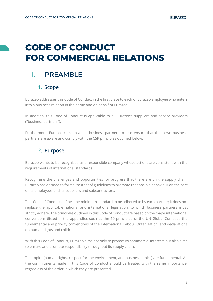## **CODE OF CONDUCT FOR COMMERCIAL RELATIONS**

**\_\_\_\_\_\_\_\_\_\_\_\_\_\_\_\_\_\_\_\_\_\_\_\_\_\_\_\_\_\_\_\_\_\_\_\_\_\_\_\_\_\_\_\_\_\_\_\_\_\_\_\_\_\_\_\_\_\_\_\_\_\_\_\_\_\_\_\_\_\_\_\_\_\_\_\_\_\_\_\_\_\_\_\_\_\_\_\_\_\_\_\_\_\_\_\_\_\_\_\_\_\_\_\_\_\_\_\_\_\_\_\_\_\_\_\_\_\_\_\_\_\_\_\_\_\_\_\_\_\_\_**

## <span id="page-2-0"></span>**I. PREAMBLE**

### **1. Scope**

<span id="page-2-1"></span>Eurazeo addresses this Code of Conduct in the first place to each of Eurazeo employee who enters into a business relation in the name and on behalf of Eurazeo.

In addition, this Code of Conduct is applicable to all Eurazeo's suppliers and service providers ("business partners").

Furthermore, Eurazeo calls on all its business partners to also ensure that their own business partners are aware and comply with the CSR principles outlined below.

## <span id="page-2-2"></span>**2. Purpose**

Eurazeo wants to be recognized as a responsible company whose actions are consistent with the requirements of international standards.

Recognizing the challenges and opportunities for progress that there are on the supply chain, Eurazeo has decided to formalize a set of guidelines to promote responsible behaviour on the part of its employees and its suppliers and subcontractors.

This Code of Conduct defines the minimum standard to be adhered to by each partner; it does not replace the applicable national and international legislation, to which business partners must strictly adhere. The principles outlined in this Code of Conduct are based on the major international conventions (listed in the appendix), such as the 10 principles of the UN Global Compact, the fundamental and priority conventions of the International Labour Organization, and declarations on human rights and children.

With this Code of Conduct, Eurazeo aims not only to protect its commercial interests but also aims to ensure and promote responsibility throughout its supply chain.

The topics (human rights, respect for the environment, and business ethics) are fundamental. All the commitments made in this Code of Conduct should be treated with the same importance, regardless of the order in which they are presented.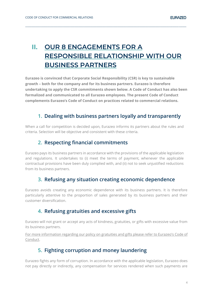## <span id="page-3-0"></span>**II. OUR 8 ENGAGEMENTS FOR A RESPONSIBLE RELATIONSHIP WITH OUR BUSINESS PARTNERS**

**\_\_\_\_\_\_\_\_\_\_\_\_\_\_\_\_\_\_\_\_\_\_\_\_\_\_\_\_\_\_\_\_\_\_\_\_\_\_\_\_\_\_\_\_\_\_\_\_\_\_\_\_\_\_\_\_\_\_\_\_\_\_\_\_\_\_\_\_\_\_\_\_\_\_\_\_\_\_\_\_\_\_\_\_\_\_\_\_\_\_\_\_\_\_\_\_\_\_\_\_\_\_\_\_\_\_\_\_\_\_\_\_\_\_\_\_\_\_\_\_\_\_\_\_\_\_\_\_\_\_\_**

**Eurazeo is convinced that Corporate Social Responsibility (CSR) is key to sustainable growth – both for the company and for its business partners. Eurazeo is therefore undertaking to apply the CSR commitments shown below. A Code of Conduct has also been formalized and communicated to all Eurazeo employees. The present Code of Conduct complements Eurazeo's Code of Conduct on practices related to commercial relations.**

## <span id="page-3-1"></span>**1. Dealing with business partners loyally and transparently**

When a call for competition is decided upon, Eurazeo informs its partners about the rules and criteria. Selection will be objective and consistent with these criteria.

## **2. Respecting financial commitments**

<span id="page-3-2"></span>Eurazeo pays its business partners in accordance with the provisions of the applicable legislation and regulations. It undertakes to (i) meet the terms of payment, whenever the applicable contractual provisions have been duly complied with, and (ii) not to seek unjustified reductions from its business partners.

## **3. Refusing any situation creating economic dependence**

<span id="page-3-3"></span>Eurazeo avoids creating any economic dependence with its business partners. It is therefore particularly attentive to the proportion of sales generated by its business partners and their customer diversification.

## **4. Refusing gratuities and excessive gifts**

<span id="page-3-4"></span>Eurazeo will not grant or accept any acts of kindness, gratuities, or gifts with excessive value from its business partners.

<span id="page-3-5"></span>For more information regarding our policy on gratuities and gifts please refer to Eurazeo's Code of Conduct.

## **5. Fighting corruption and money laundering**

Eurazeo fights any form of corruption. In accordance with the applicable legislation, Eurazeo does not pay directly or indirectly, any compensation for services rendered when such payments are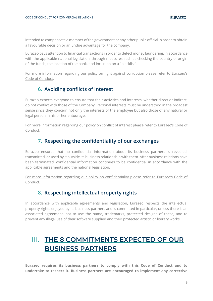intended to compensate a member of the government or any other public official in order to obtain a favourable decision or an undue advantage for the company.

**\_\_\_\_\_\_\_\_\_\_\_\_\_\_\_\_\_\_\_\_\_\_\_\_\_\_\_\_\_\_\_\_\_\_\_\_\_\_\_\_\_\_\_\_\_\_\_\_\_\_\_\_\_\_\_\_\_\_\_\_\_\_\_\_\_\_\_\_\_\_\_\_\_\_\_\_\_\_\_\_\_\_\_\_\_\_\_\_\_\_\_\_\_\_\_\_\_\_\_\_\_\_\_\_\_\_\_\_\_\_\_\_\_\_\_\_\_\_\_\_\_\_\_\_\_\_\_\_\_\_\_**

Eurazeo pays attention to financial transactions in order to detect money laundering, in accordance with the applicable national legislation, through measures such as checking the country of origin of the funds, the location of the bank, and inclusion on a "blacklist".

For more information regarding our policy on fight against corruption please refer to Eurazeo's Code of Conduct.

### **6. Avoiding conflicts of interest**

<span id="page-4-0"></span>Eurazeo expects everyone to ensure that their activities and interests, whether direct or indirect, do not conflict with those of the Company. Personal interests must be understood in the broadest sense since they concern not only the interests of the employee but also those of any natural or legal person in his or her entourage.

For more information regarding our policy on conflict of interest please refer to Eurazeo's Code of Conduct.

## **7. Respecting the confidentiality of our exchanges**

<span id="page-4-1"></span>Eurazeo ensures that no confidential information about its business partners is revealed, transmitted, or used by it outside its business relationship with them. After business relations have been terminated, confidential information continues to be confidential in accordance with the applicable agreements and the national legislation.

For more information regarding our policy on confidentiality please refer to Eurazeo's Code of Conduct.

## **8. Respecting intellectual property rights**

<span id="page-4-2"></span>In accordance with applicable agreements and legislation, Eurazeo respects the intellectual property rights enjoyed by its business partners and is committed in particular, unless there is an associated agreement, not to use the name, trademarks, protected designs of these, and to prevent any illegal use of their software supplied and their protected artistic or literary works.

## <span id="page-4-3"></span>**III. THE 8 COMMITMENTS EXPECTED OF OUR BUSINESS PARTNERS**

**Eurazeo requires its business partners to comply with this Code of Conduct and to undertake to respect it. Business partners are encouraged to implement any corrective**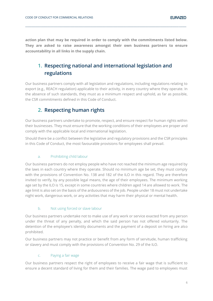**action plan that may be required in order to comply with the commitments listed below. They are asked to raise awareness amongst their own business partners to ensure accountability in all links in the supply chain.**

**\_\_\_\_\_\_\_\_\_\_\_\_\_\_\_\_\_\_\_\_\_\_\_\_\_\_\_\_\_\_\_\_\_\_\_\_\_\_\_\_\_\_\_\_\_\_\_\_\_\_\_\_\_\_\_\_\_\_\_\_\_\_\_\_\_\_\_\_\_\_\_\_\_\_\_\_\_\_\_\_\_\_\_\_\_\_\_\_\_\_\_\_\_\_\_\_\_\_\_\_\_\_\_\_\_\_\_\_\_\_\_\_\_\_\_\_\_\_\_\_\_\_\_\_\_\_\_\_\_\_\_**

## <span id="page-5-0"></span>**1. Respecting national and international legislation and regulations**

Our business partners comply with all legislation and regulations, including regulations relating to export (e.g., REACH regulation) applicable to their activity, in every country where they operate. In the absence of such standards, they must as a minimum respect and uphold, as far as possible, the CSR commitments defined in this Code of Conduct.

## **2. Respecting human rights**

<span id="page-5-1"></span>Our business partners undertake to promote, respect, and ensure respect for human rights within their businesses. They must ensure that the working conditions of their employees are proper and comply with the applicable local and international legislation.

Should there be a conflict between the legislative and regulatory provisions and the CSR principles in this Code of Conduct, the most favourable provisions for employees shall prevail.

#### a. Prohibiting child labour

Our business partners do not employ people who have not reached the minimum age required by the laws in each country where they operate. Should no minimum age be set, they must comply with the provisions of Convention No. 138 and 182 of the ILO in this regard. They are therefore invited to verify, by any possible legal means, the age of their employees. The minimum working age set by the ILO is 15, except in some countries where children aged 14 are allowed to work. The age limit is also set on the basis of the arduousness of the job. People under 18 must not undertake night work, dangerous work, or any activities that may harm their physical or mental health.

#### b. Not using forced or slave labour

Our business partners undertake not to make use of any work or service exacted from any person under the threat of any penalty, and which the said person has not offered voluntarily. The detention of the employee's identity documents and the payment of a deposit on hiring are also prohibited.

Our business partners may not practice or benefit from any form of servitude, human trafficking or slavery and must comply with the provisions of Convention No. 29 of the ILO.

#### c. Paying a fair wage

Our business partners respect the right of employees to receive a fair wage that is sufficient to ensure a decent standard of living for them and their families. The wage paid to employees must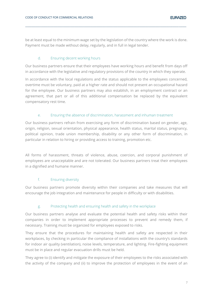be at least equal to the minimum wage set by the legislation of the country where the work is done. Payment must be made without delay, regularly, and in full in legal tender.

**\_\_\_\_\_\_\_\_\_\_\_\_\_\_\_\_\_\_\_\_\_\_\_\_\_\_\_\_\_\_\_\_\_\_\_\_\_\_\_\_\_\_\_\_\_\_\_\_\_\_\_\_\_\_\_\_\_\_\_\_\_\_\_\_\_\_\_\_\_\_\_\_\_\_\_\_\_\_\_\_\_\_\_\_\_\_\_\_\_\_\_\_\_\_\_\_\_\_\_\_\_\_\_\_\_\_\_\_\_\_\_\_\_\_\_\_\_\_\_\_\_\_\_\_\_\_\_\_\_\_\_**

#### d. Ensuring decent working hours

Our business partners ensure that their employees have working hours and benefit from days off in accordance with the legislative and regulatory provisions of the country in which they operate.

In accordance with the local regulations and the status applicable to the employees concerned, overtime must be voluntary, paid at a higher rate and should not present an occupational hazard for the employee. Our business partners may also establish, in an employment contract or an agreement, that part or all of this additional compensation be replaced by the equivalent compensatory rest time.

#### e. Ensuring the absence of discrimination, harassment and inhuman treatment

Our business partners refrain from exercising any form of discrimination based on gender, age, origin, religion, sexual orientation, physical appearance, health status, marital status, pregnancy, political opinion, trade union membership, disability or any other form of discrimination, in particular in relation to hiring or providing access to training, promotion etc.

All forms of harassment, threats of violence, abuse, coercion, and corporal punishment of employees are unacceptable and are not tolerated. Our business partners treat their employees in a dignified and humane manner.

#### f. Ensuring diversity

Our business partners promote diversity within their companies and take measures that will encourage the job integration and maintenance for people in difficulty or with disabilities.

#### g. Protecting health and ensuring health and safety in the workplace

Our business partners analyse and evaluate the potential health and safety risks within their companies in order to implement appropriate processes to prevent and remedy them, if necessary. Training must be organized for employees exposed to risks.

They ensure that the procedures for maintaining health and safety are respected in their workplaces, by checking in particular the compliance of installations with the country's standards for indoor air quality (ventilation), noise levels, temperature, and lighting. Fire-fighting equipment must be in place and regular evacuation drills must be held.

They agree to (i) identify and mitigate the exposure of their employees to the risks associated with the activity of the company and (ii) to improve the protection of employees in the event of an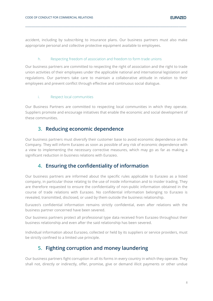accident, including by subscribing to insurance plans. Our business partners must also make appropriate personal and collective protective equipment available to employees.

**\_\_\_\_\_\_\_\_\_\_\_\_\_\_\_\_\_\_\_\_\_\_\_\_\_\_\_\_\_\_\_\_\_\_\_\_\_\_\_\_\_\_\_\_\_\_\_\_\_\_\_\_\_\_\_\_\_\_\_\_\_\_\_\_\_\_\_\_\_\_\_\_\_\_\_\_\_\_\_\_\_\_\_\_\_\_\_\_\_\_\_\_\_\_\_\_\_\_\_\_\_\_\_\_\_\_\_\_\_\_\_\_\_\_\_\_\_\_\_\_\_\_\_\_\_\_\_\_\_\_\_**

#### h. Respecting freedom of association and freedom to form trade unions

Our business partners are committed to respecting the right of association and the right to trade union activities of their employees under the applicable national and international legislation and regulations. Our partners take care to maintain a collaborative attitude in relation to their employees and prevent conflict through effective and continuous social dialogue.

#### i. Respect local communities

Our Business Partners are committed to respecting local communities in which they operate. Suppliers promote and encourage initiatives that enable the economic and social development of these communities.

### <span id="page-7-0"></span>**3. Reducing economic dependence**

Our business partners must diversify their customer base to avoid economic dependence on the Company. They will inform Eurazeo as soon as possible of any risk of economic dependence with a view to implementing the necessary corrective measures, which may go as far as making a significant reduction in business relations with Eurazeo.

### <span id="page-7-1"></span>**4. Ensuring the confidentiality of information**

Our business partners are informed about the specific rules applicable to Eurazeo as a listed company, in particular those relating to the use of inside information and to insider trading. They are therefore requested to ensure the confidentiality of non-public information obtained in the course of trade relations with Eurazeo. No confidential information belonging to Eurazeo is revealed, transmitted, disclosed, or used by them outside the business relationship.

Eurazeo's confidential information remains strictly confidential, even after relations with the business partner concerned have been severed.

Our business partners protect all professional type data received from Eurazeo throughout their business relationship and even after the said relationship has been severed.

Individual information about Eurazeo, collected or held by its suppliers or service providers, must be strictly confined to a limited use principle.

### <span id="page-7-2"></span>**5. Fighting corruption and money laundering**

Our business partners fight corruption in all its forms in every country in which they operate. They shall not, directly or indirectly, offer, promise, give or demand illicit payments or other undue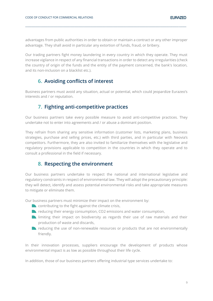advantages from public authorities in order to obtain or maintain a contract or any other improper advantage. They shall avoid in particular any extortion of funds, fraud, or bribery.

**\_\_\_\_\_\_\_\_\_\_\_\_\_\_\_\_\_\_\_\_\_\_\_\_\_\_\_\_\_\_\_\_\_\_\_\_\_\_\_\_\_\_\_\_\_\_\_\_\_\_\_\_\_\_\_\_\_\_\_\_\_\_\_\_\_\_\_\_\_\_\_\_\_\_\_\_\_\_\_\_\_\_\_\_\_\_\_\_\_\_\_\_\_\_\_\_\_\_\_\_\_\_\_\_\_\_\_\_\_\_\_\_\_\_\_\_\_\_\_\_\_\_\_\_\_\_\_\_\_\_\_**

Our trading partners fight money laundering in every country in which they operate. They must increase vigilance in respect of any financial transactions in order to detect any irregularities (check the country of origin of the funds and the entity of the payment concerned, the bank's location, and its non-inclusion on a blacklist etc.).

## **6. Avoiding conflicts of interest**

<span id="page-8-0"></span>Business partners must avoid any situation, actual or potential, which could jeopardize Eurazeo's interests and / or reputation.

### **7. Fighting anti-competitive practices**

<span id="page-8-1"></span>Our business partners take every possible measure to avoid anti-competitive practices. They undertake not to enter into agreements and / or abuse a dominant position.

They refrain from sharing any sensitive information (customer lists, marketing plans, business strategies, purchase and selling prices, etc.) with third parties, and in particular with Neovia's competitors. Furthermore, they are also invited to familiarize themselves with the legislative and regulatory provisions applicable to competition in the countries in which they operate and to consult a professional in the field if necessary.

### **8. Respecting the environment**

<span id="page-8-2"></span>Our business partners undertake to respect the national and international legislative and regulatory constraints in respect of environmental law. They will adopt the precautionary principle: they will detect, identify and assess potential environmental risks and take appropriate measures to mitigate or eliminate them.

Our business partners must minimize their impact on the environment by:

- $\blacksquare$  contributing to the fight against the climate crisis,
- $\blacksquare$  reducing their energy consumption, CO2 emissions and water consumption,
- **I** limiting their impact on biodiversity as regards their use of raw materials and their production of waste and discards,
- reducing the use of non-renewable resources or products that are not environmentally friendly.

In their innovation processes, suppliers encourage the development of products whose environmental impact is as low as possible throughout their life cycle.

In addition, those of our business partners offering industrial type services undertake to: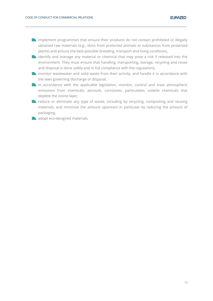**In all implement programmes that ensure their products do not contain prohibited or illegally** obtained raw materials (e.g., skins from protected animals or substances from protected plants) and ensure the best possible breeding, transport and living conditions,

**\_\_\_\_\_\_\_\_\_\_\_\_\_\_\_\_\_\_\_\_\_\_\_\_\_\_\_\_\_\_\_\_\_\_\_\_\_\_\_\_\_\_\_\_\_\_\_\_\_\_\_\_\_\_\_\_\_\_\_\_\_\_\_\_\_\_\_\_\_\_\_\_\_\_\_\_\_\_\_\_\_\_\_\_\_\_\_\_\_\_\_\_\_\_\_\_\_\_\_\_\_\_\_\_\_\_\_\_\_\_\_\_\_\_\_\_\_\_\_\_\_\_\_\_\_\_\_\_\_\_\_**

- **N** identify and manage any material or chemical that may pose a risk if released into the environment. They must ensure that handling, transporting, storage, recycling and reuse and disposal is done safely and in full compliance with the regulations,
- **n** monitor wastewater and solid waste from their activity, and handle it in accordance with the laws governing discharge or disposal,
- in accordance with the applicable legislation, monitor, control and treat atmospheric emissions from chemicals, aerosols, corrosives, particulates, volatile chemicals that deplete the ozone layer,
- reduce or eliminate any type of waste, including by recycling, composting and reusing materials, and minimize the amount upstream in particular by reducing the amount of packaging,
- adopt eco-designed materials.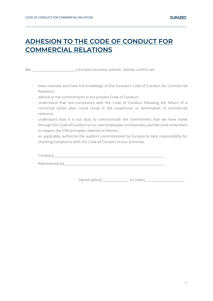## <span id="page-10-0"></span>**ADHESION TO THE CODE OF CONDUCT FOR COMMERCIAL RELATIONS**

**\_\_\_\_\_\_\_\_\_\_\_\_\_\_\_\_\_\_\_\_\_\_\_\_\_\_\_\_\_\_\_\_\_\_\_\_\_\_\_\_\_\_\_\_\_\_\_\_\_\_\_\_\_\_\_\_\_\_\_\_\_\_\_\_\_\_\_\_\_\_\_\_\_\_\_\_\_\_\_\_\_\_\_\_\_\_\_\_\_\_\_\_\_\_\_\_\_\_\_\_\_\_\_\_\_\_\_\_\_\_\_\_\_\_\_\_\_\_\_\_\_\_\_\_\_\_\_\_\_\_\_**

We, we, we are the contract of the control of the confirmulation of the confirmulation of the confirmulation of the contract of the contract of the contract of the contract of the contract of the contract of the contract o

- have received and have full knowledge of the Eurazeo's Code of Conduct for Commercial Relations;
- adhere to the commitments in the present Code of Conduct;
- understand that non-compliance with the Code of Conduct following the failure of a corrective action plan, could result in the suspension or termination of commercial relations;
- understand that it is our duty to communicate the commitment that we have made through this Code of Conduct to our own employees and business partners and invite them to respect the CSR principles referred to therein;
- as applicable, authorize the auditors commissioned by Eurazeo to take responsibility for checking compliance with the Code of Conduct on our premises.

| Company        |  |  |  |
|----------------|--|--|--|
| Represented by |  |  |  |

Signed (place)\_\_\_\_\_\_\_\_\_\_\_\_\_\_\_\_\_\_\_\_\_\_ on (date)\_\_\_\_\_\_\_\_\_\_\_\_\_\_\_\_\_\_\_\_\_\_\_\_\_\_\_\_\_\_\_\_\_\_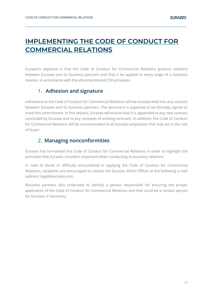## <span id="page-11-0"></span>**IMPLEMENTING THE CODE OF CONDUCT FOR COMMERCIAL RELATIONS**

**\_\_\_\_\_\_\_\_\_\_\_\_\_\_\_\_\_\_\_\_\_\_\_\_\_\_\_\_\_\_\_\_\_\_\_\_\_\_\_\_\_\_\_\_\_\_\_\_\_\_\_\_\_\_\_\_\_\_\_\_\_\_\_\_\_\_\_\_\_\_\_\_\_\_\_\_\_\_\_\_\_\_\_\_\_\_\_\_\_\_\_\_\_\_\_\_\_\_\_\_\_\_\_\_\_\_\_\_\_\_\_\_\_\_\_\_\_\_\_\_\_\_\_\_\_\_\_\_\_\_\_**

Eurazeo's objective is that the Code of Conduct for Commercial Relations governs relations between Eurazeo and its business partners and that it be applied to every stage of a business relation, in accordance with the aforementioned CSR principles.

### <span id="page-11-1"></span>**1. Adhesion and signature**

Adherence to the Code of Conduct for Commercial Relations will be incorporated into any contract between Eurazeo and its business partners. The document is expected to be formally signed to mark this commitment. In this respect, Eurazeo will ensure that it is appended to any new contract concluded by Eurazeo and to any renewals of existing contracts. In addition, the Code of Conduct for Commercial Relations will be communicated to all Eurazeo employees that may act in the role of buyer.

## **2. Managing nonconformities**

<span id="page-11-2"></span>Eurazeo has formalized this Code of Conduct for Commercial Relations in order to highlight the principles that Eurazeo considers important when conducting its business relations.

In case of doubt or difficulty encountered in applying the Code of Conduct for Commercial Relations, recipients are encouraged to contact the Eurazeo Ethics Officer at the following e-mail address: legal@eurazeo.com.

Business partners also undertake to identify a person responsible for ensuring the proper application of the Code of Conduct for Commercial Relations and that could be a contact person for Eurazeo, if necessary.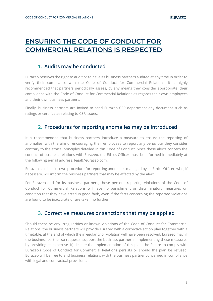## <span id="page-12-0"></span>**ENSURING THE CODE OF CONDUCT FOR COMMERCIAL RELATIONS IS RESPECTED**

### **1. Audits may be conducted**

<span id="page-12-1"></span>Eurazeo reserves the right to audit or to have its business partners audited at any time in order to verify their compliance with the Code of Conduct for Commercial Relations. It is highly recommended that partners periodically assess, by any means they consider appropriate, their compliance with the Code of Conduct for Commercial Relations as regards their own employees and their own business partners.

**\_\_\_\_\_\_\_\_\_\_\_\_\_\_\_\_\_\_\_\_\_\_\_\_\_\_\_\_\_\_\_\_\_\_\_\_\_\_\_\_\_\_\_\_\_\_\_\_\_\_\_\_\_\_\_\_\_\_\_\_\_\_\_\_\_\_\_\_\_\_\_\_\_\_\_\_\_\_\_\_\_\_\_\_\_\_\_\_\_\_\_\_\_\_\_\_\_\_\_\_\_\_\_\_\_\_\_\_\_\_\_\_\_\_\_\_\_\_\_\_\_\_\_\_\_\_\_\_\_\_\_**

Finally, business partners are invited to send Eurazeo CSR department any document such as ratings or certificates relating to CSR issues.

## **2. Procedures for reporting anomalies may be introduced**

<span id="page-12-2"></span>It is recommended that business partners introduce a measure to ensure the reporting of anomalies, with the aim of encouraging their employees to report any behaviour they consider contrary to the ethical principles detailed in this Code of Conduct. Since these alerts concern the conduct of business relations with Eurazeo, the Ethics Officer must be informed immediately at the following e-mail address: legal@eurazeo.com.

Eurazeo also has its own procedure for reporting anomalies managed by its Ethics Officer, who, if necessary, will inform the business partners that may be affected by the alert.

For Eurazeo and for its business partners, those persons reporting violations of the Code of Conduct for Commercial Relations will face no punishment or discriminatory measures on condition that they have acted in good faith, even if the facts concerning the reported violations are found to be inaccurate or are taken no further.

## **3. Corrective measures or sanctions that may be applied**

<span id="page-12-3"></span>Should there be any irregularities or known violations of the Code of Conduct for Commercial Relations, the business partners will provide Eurazeo with a corrective action plan together with a timetable, at the end of which the irregularity or violation will have been resolved. Eurazeo may, if the business partner so requests, support the business partner in implementing these measures by providing its expertise. If, despite the implementation of this plan, the failure to comply with Eurazeo's Code of Conduct for Commercial Relations persists or should the plan be refused, Eurazeo will be free to end business relations with the business partner concerned in compliance with legal and contractual provisions.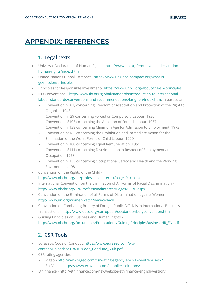## <span id="page-13-0"></span>**APPENDIX: REFERENCES**

## **1. Legal texts**

<span id="page-13-1"></span>• Universal Declaration of Human Rights - [http://www.un.org/en/universal-declaration](http://www.un.org/en/universal-declaration-human-rights/index.html)[human-rights/index.html](http://www.un.org/en/universal-declaration-human-rights/index.html)

**\_\_\_\_\_\_\_\_\_\_\_\_\_\_\_\_\_\_\_\_\_\_\_\_\_\_\_\_\_\_\_\_\_\_\_\_\_\_\_\_\_\_\_\_\_\_\_\_\_\_\_\_\_\_\_\_\_\_\_\_\_\_\_\_\_\_\_\_\_\_\_\_\_\_\_\_\_\_\_\_\_\_\_\_\_\_\_\_\_\_\_\_\_\_\_\_\_\_\_\_\_\_\_\_\_\_\_\_\_\_\_\_\_\_\_\_\_\_\_\_\_\_\_\_\_\_\_\_\_\_\_**

- United Nations Global Compact [https://www.unglobalcompact.org/what-is](https://www.unglobalcompact.org/what-is-gc/mission/principles)[gc/mission/principles](https://www.unglobalcompact.org/what-is-gc/mission/principles)
- Principles for Responsible Investment- <https://www.unpri.org/about/the-six-principles>
- ILO Conventions [http://www.ilo.org/global/standards/introduction-to-international](http://www.ilo.org/global/standards/introduction-to-international-labour-standards/conventions-and-recommendations/lang--en/index.htm)[labour-standards/conventions-and-recommendations/lang--en/index.htm,](http://www.ilo.org/global/standards/introduction-to-international-labour-standards/conventions-and-recommendations/lang--en/index.htm) in particular:
	- Convention n° 87, concerning Freedom of Association and Protection of the Right to Organise, 1948
	- Convention n° 29 concerning Forced or Compulsory Labour, 1930
	- Convention n°105 concerning the Abolition of Forced Labour, 1957
	- Convention n°138 concerning Minimum Age for Admission to Employment, 1973
	- Convention n°182 concerning the Prohibition and Immediate Action for the Elimination of the Worst Forms of Child Labour, 1999
	- Convention n°100 concerning Equal Remuneration, 1951
	- Convention n°111 concerning Discrimination in Respect of Employment and Occupation, 1958
	- Convention n°155 concerning Occupational Safety and Health and the Working Environment, 1981
- Convention on the Rights of the Child <http://www.ohchr.org/en/professionalinterest/pages/crc.aspx>
- International Convention on the Elimination of All Forms of Racial Discrimination <http://www.ohchr.org/EN/ProfessionalInterest/Pages/CERD.aspx>
- Convention on the Elimination of all Forms of Discrimination against Women <http://www.un.org/womenwatch/daw/cedaw/>
- Convention on Combating Bribery of Foreign Public Officials in International Business Transactions - <http://www.oecd.org/corruption/oecdantibriberyconvention.htm>
- Guiding Principles on Business and Human Rights [http://www.ohchr.org/Documents/Publications/GuidingPrinciplesBusinessHR\\_EN.pdf](http://www.ohchr.org/Documents/Publications/GuidingPrinciplesBusinessHR_EN.pdf)

## **2. CSR Tools**

- <span id="page-13-2"></span>• Eurazeo's Code of Conduct: [https://www.eurazeo.com/wp](https://www.eurazeo.com/wp-content/uploads/2018/10/Code_Conduite_6-uk.pdf)[content/uploads/2018/10/Code\\_Conduite\\_6-uk.pdf](https://www.eurazeo.com/wp-content/uploads/2018/10/Code_Conduite_6-uk.pdf)
- CSR rating agencies:
	- Vigeo <http://www.vigeo.com/csr-rating-agency/en/3-1-2-entreprises-2>
	- EcoVadis <https://www.ecovadis.com/supplier-solutions/>
- Ethifinance <http://ethifinance.com/newwebsite/ethifinance-english-version/>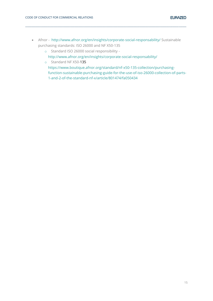• Afnor - <http://www.afnor.org/en/insights/corporate-social-responsability/> Sustainable purchasing standards: ISO 26000 and NF X50-135

**\_\_\_\_\_\_\_\_\_\_\_\_\_\_\_\_\_\_\_\_\_\_\_\_\_\_\_\_\_\_\_\_\_\_\_\_\_\_\_\_\_\_\_\_\_\_\_\_\_\_\_\_\_\_\_\_\_\_\_\_\_\_\_\_\_\_\_\_\_\_\_\_\_\_\_\_\_\_\_\_\_\_\_\_\_\_\_\_\_\_\_\_\_\_\_\_\_\_\_\_\_\_\_\_\_\_\_\_\_\_\_\_\_\_\_\_\_\_\_\_\_\_\_\_\_\_\_\_\_\_\_**

- o Standard ISO 26000 social responsibility
	- <http://www.afnor.org/en/insights/corporate-social-responsability/>
- o Standard NF X50-135
	- [https://www.boutique.afnor.org/standard/nf-x50-135-collection/purchasing](https://www.boutique.afnor.org/standard/nf-x50-135-collection/purchasing-function-sustainable-purchasing-guide-for-the-use-of-iso-26000-collection-of-parts-1-and-2-of-the-standard-nf-x/article/801474/fa050434)[function-sustainable-purchasing-guide-for-the-use-of-iso-26000-collection-of-parts-](https://www.boutique.afnor.org/standard/nf-x50-135-collection/purchasing-function-sustainable-purchasing-guide-for-the-use-of-iso-26000-collection-of-parts-1-and-2-of-the-standard-nf-x/article/801474/fa050434)[1-and-2-of-the-standard-nf-x/article/801474/fa050434](https://www.boutique.afnor.org/standard/nf-x50-135-collection/purchasing-function-sustainable-purchasing-guide-for-the-use-of-iso-26000-collection-of-parts-1-and-2-of-the-standard-nf-x/article/801474/fa050434)